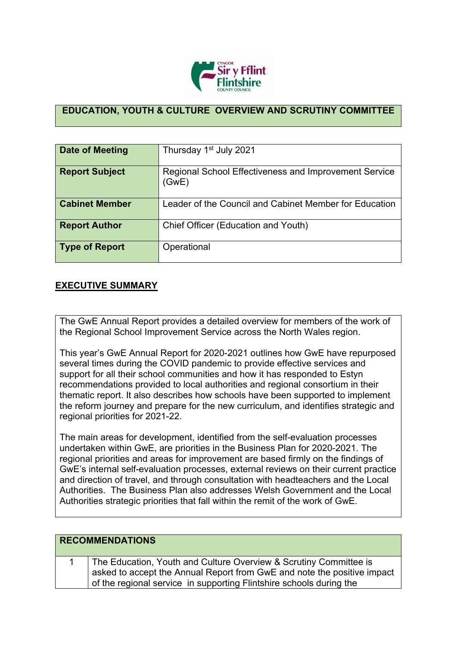

## **EDUCATION, YOUTH & CULTURE OVERVIEW AND SCRUTINY COMMITTEE**

| Date of Meeting       | Thursday 1 <sup>st</sup> July 2021                             |
|-----------------------|----------------------------------------------------------------|
| <b>Report Subject</b> | Regional School Effectiveness and Improvement Service<br>(GwE) |
| <b>Cabinet Member</b> | Leader of the Council and Cabinet Member for Education         |
| <b>Report Author</b>  | Chief Officer (Education and Youth)                            |
| <b>Type of Report</b> | Operational                                                    |

## **EXECUTIVE SUMMARY**

The GwE Annual Report provides a detailed overview for members of the work of the Regional School Improvement Service across the North Wales region.

This year's GwE Annual Report for 2020-2021 outlines how GwE have repurposed several times during the COVID pandemic to provide effective services and support for all their school communities and how it has responded to Estyn recommendations provided to local authorities and regional consortium in their thematic report. It also describes how schools have been supported to implement the reform journey and prepare for the new curriculum, and identifies strategic and regional priorities for 2021-22.

The main areas for development, identified from the self-evaluation processes undertaken within GwE, are priorities in the Business Plan for 2020-2021. The regional priorities and areas for improvement are based firmly on the findings of GwE's internal self-evaluation processes, external reviews on their current practice and direction of travel, and through consultation with headteachers and the Local Authorities. The Business Plan also addresses Welsh Government and the Local Authorities strategic priorities that fall within the remit of the work of GwE.

| <b>RECOMMENDATIONS</b>                                                                                                                                                                                              |
|---------------------------------------------------------------------------------------------------------------------------------------------------------------------------------------------------------------------|
| The Education, Youth and Culture Overview & Scrutiny Committee is<br>asked to accept the Annual Report from GwE and note the positive impact<br>of the regional service in supporting Flintshire schools during the |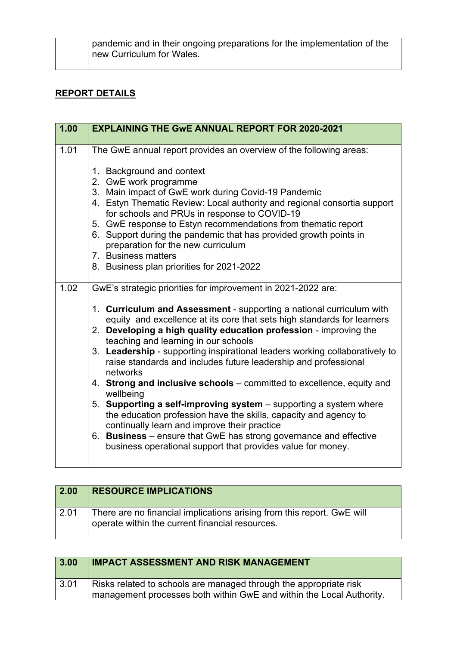pandemic and in their ongoing preparations for the implementation of the new Curriculum for Wales.

## **REPORT DETAILS**

| 1.00 | <b>EXPLAINING THE GWE ANNUAL REPORT FOR 2020-2021</b>                                                                                                                                                                                                                                                                                                                                                                                                                                                                                                                                                                                                                                                                                                                                                                                                                                                         |
|------|---------------------------------------------------------------------------------------------------------------------------------------------------------------------------------------------------------------------------------------------------------------------------------------------------------------------------------------------------------------------------------------------------------------------------------------------------------------------------------------------------------------------------------------------------------------------------------------------------------------------------------------------------------------------------------------------------------------------------------------------------------------------------------------------------------------------------------------------------------------------------------------------------------------|
| 1.01 | The GwE annual report provides an overview of the following areas:<br>1. Background and context<br>2. GwE work programme<br>3. Main impact of GwE work during Covid-19 Pandemic<br>4. Estyn Thematic Review: Local authority and regional consortia support<br>for schools and PRUs in response to COVID-19<br>5. GwE response to Estyn recommendations from thematic report<br>6. Support during the pandemic that has provided growth points in<br>preparation for the new curriculum<br>7. Business matters<br>8. Business plan priorities for 2021-2022                                                                                                                                                                                                                                                                                                                                                   |
| 1.02 | GwE's strategic priorities for improvement in 2021-2022 are:<br>1. Curriculum and Assessment - supporting a national curriculum with<br>equity and excellence at its core that sets high standards for learners<br>2. Developing a high quality education profession - improving the<br>teaching and learning in our schools<br>3. Leadership - supporting inspirational leaders working collaboratively to<br>raise standards and includes future leadership and professional<br>networks<br>4. Strong and inclusive schools - committed to excellence, equity and<br>wellbeing<br>5. Supporting a self-improving system - supporting a system where<br>the education profession have the skills, capacity and agency to<br>continually learn and improve their practice<br>6. Business - ensure that GwE has strong governance and effective<br>business operational support that provides value for money. |

| 2.00 | <b>RESOURCE IMPLICATIONS</b>                                                                                              |
|------|---------------------------------------------------------------------------------------------------------------------------|
| 2.01 | There are no financial implications arising from this report. GwE will<br>operate within the current financial resources. |

| 3.00               | <b>IMPACT ASSESSMENT AND RISK MANAGEMENT</b>                         |
|--------------------|----------------------------------------------------------------------|
| $\vert 3.01 \vert$ | Risks related to schools are managed through the appropriate risk    |
|                    | management processes both within GwE and within the Local Authority. |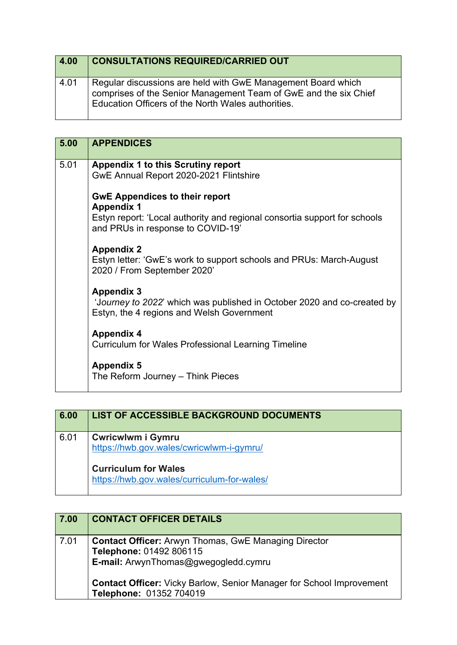| 4.00 | <b>CONSULTATIONS REQUIRED/CARRIED OUT</b>                                                                                                                                              |
|------|----------------------------------------------------------------------------------------------------------------------------------------------------------------------------------------|
| 4.01 | Regular discussions are held with GwE Management Board which<br>comprises of the Senior Management Team of GwE and the six Chief<br>Education Officers of the North Wales authorities. |

| 5.00 | <b>APPENDICES</b>                                                                                                                                                            |
|------|------------------------------------------------------------------------------------------------------------------------------------------------------------------------------|
| 5.01 | <b>Appendix 1 to this Scrutiny report</b><br>GwE Annual Report 2020-2021 Flintshire                                                                                          |
|      | <b>GwE Appendices to their report</b><br><b>Appendix 1</b><br>Estyn report: 'Local authority and regional consortia support for schools<br>and PRUs in response to COVID-19' |
|      | <b>Appendix 2</b><br>Estyn letter: 'GwE's work to support schools and PRUs: March-August<br>2020 / From September 2020'                                                      |
|      | <b>Appendix 3</b><br>'Journey to 2022' which was published in October 2020 and co-created by<br>Estyn, the 4 regions and Welsh Government                                    |
|      | <b>Appendix 4</b><br><b>Curriculum for Wales Professional Learning Timeline</b>                                                                                              |
|      | <b>Appendix 5</b><br>The Reform Journey - Think Pieces                                                                                                                       |

| 6.00 | LIST OF ACCESSIBLE BACKGROUND DOCUMENTS                                                             |
|------|-----------------------------------------------------------------------------------------------------|
| 6.01 | <b>Cwricwlwm i Gymru</b><br>https://hwb.gov.wales/cwricwlwm-i-gymru/<br><b>Curriculum for Wales</b> |
|      | https://hwb.gov.wales/curriculum-for-wales/                                                         |

| 7.00 | <b>CONTACT OFFICER DETAILS</b>                                                                                                 |
|------|--------------------------------------------------------------------------------------------------------------------------------|
| 7.01 | <b>Contact Officer:</b> Arwyn Thomas, GwE Managing Director<br>Telephone: 01492 806115<br>E-mail: ArwynThomas@gwegogledd.cymru |
|      | <b>Contact Officer:</b> Vicky Barlow, Senior Manager for School Improvement<br>Telephone: 01352 704019                         |